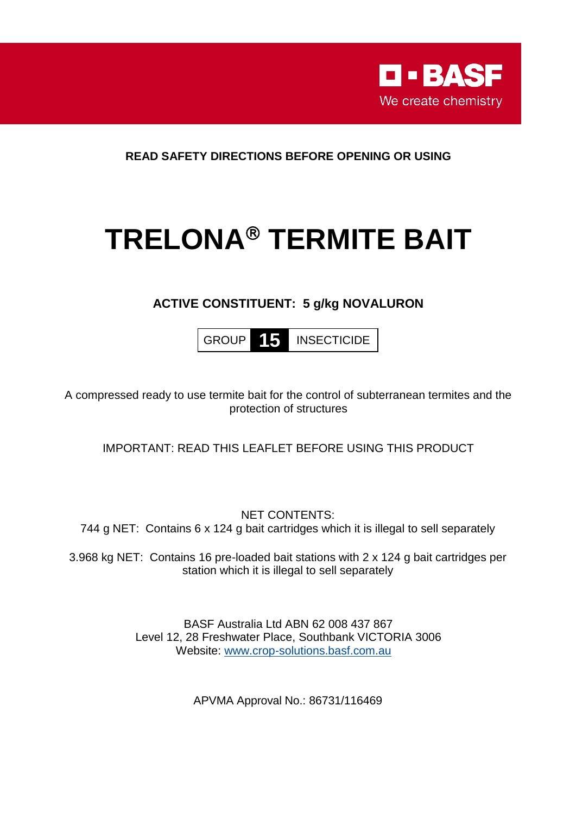

**READ SAFETY DIRECTIONS BEFORE OPENING OR USING**

# **TRELONA TERMITE BAIT**

# **ACTIVE CONSTITUENT: 5 g/kg NOVALURON**

GROUP **15** INSECTICIDE

A compressed ready to use termite bait for the control of subterranean termites and the protection of structures

IMPORTANT: READ THIS LEAFLET BEFORE USING THIS PRODUCT

NET CONTENTS: 744 g NET: Contains 6 x 124 g bait cartridges which it is illegal to sell separately

3.968 kg NET: Contains 16 pre-loaded bait stations with 2 x 124 g bait cartridges per station which it is illegal to sell separately

> BASF Australia Ltd ABN 62 008 437 867 Level 12, 28 Freshwater Place, Southbank VICTORIA 3006 Website: [www.crop-solutions.basf.com.au](http://www.crop-solutions.basf.com.au/)

> > APVMA Approval No.: 86731/116469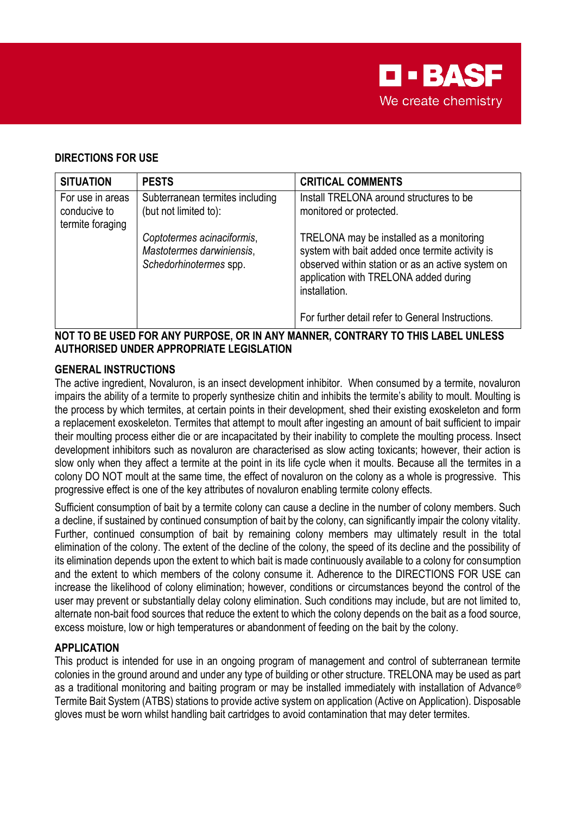

## **DIRECTIONS FOR USE**

| <b>SITUATION</b>                                     | <b>PESTS</b>                                                                      | <b>CRITICAL COMMENTS</b>                                                                                                                                                                                                                                        |
|------------------------------------------------------|-----------------------------------------------------------------------------------|-----------------------------------------------------------------------------------------------------------------------------------------------------------------------------------------------------------------------------------------------------------------|
| For use in areas<br>conducive to<br>termite foraging | Subterranean termites including<br>(but not limited to):                          | Install TRELONA around structures to be<br>monitored or protected.                                                                                                                                                                                              |
|                                                      | Coptotermes acinaciformis,<br>Mastotermes darwiniensis,<br>Schedorhinotermes spp. | TRELONA may be installed as a monitoring<br>system with bait added once termite activity is<br>observed within station or as an active system on<br>application with TRELONA added during<br>installation.<br>For further detail refer to General Instructions. |

#### **NOT TO BE USED FOR ANY PURPOSE, OR IN ANY MANNER, CONTRARY TO THIS LABEL UNLESS AUTHORISED UNDER APPROPRIATE LEGISLATION**

### **GENERAL INSTRUCTIONS**

The active ingredient, Novaluron, is an insect development inhibitor. When consumed by a termite, novaluron impairs the ability of a termite to properly synthesize chitin and inhibits the termite's ability to moult. Moulting is the process by which termites, at certain points in their development, shed their existing exoskeleton and form a replacement exoskeleton. Termites that attempt to moult after ingesting an amount of bait sufficient to impair their moulting process either die or are incapacitated by their inability to complete the moulting process. Insect development inhibitors such as novaluron are characterised as slow acting toxicants; however, their action is slow only when they affect a termite at the point in its life cycle when it moults. Because all the termites in a colony DO NOT moult at the same time, the effect of novaluron on the colony as a whole is progressive. This progressive effect is one of the key attributes of novaluron enabling termite colony effects.

Sufficient consumption of bait by a termite colony can cause a decline in the number of colony members. Such a decline, if sustained by continued consumption of bait by the colony, can significantly impair the colony vitality. Further, continued consumption of bait by remaining colony members may ultimately result in the total elimination of the colony. The extent of the decline of the colony, the speed of its decline and the possibility of its elimination depends upon the extent to which bait is made continuously available to a colony for consumption and the extent to which members of the colony consume it. Adherence to the DIRECTIONS FOR USE can increase the likelihood of colony elimination; however, conditions or circumstances beyond the control of the user may prevent or substantially delay colony elimination. Such conditions may include, but are not limited to, alternate non-bait food sources that reduce the extent to which the colony depends on the bait as a food source, excess moisture, low or high temperatures or abandonment of feeding on the bait by the colony.

### **APPLICATION**

This product is intended for use in an ongoing program of management and control of subterranean termite colonies in the ground around and under any type of building or other structure. TRELONA may be used as part as a traditional monitoring and baiting program or may be installed immediately with installation of Advance® Termite Bait System (ATBS) stations to provide active system on application (Active on Application). Disposable gloves must be worn whilst handling bait cartridges to avoid contamination that may deter termites.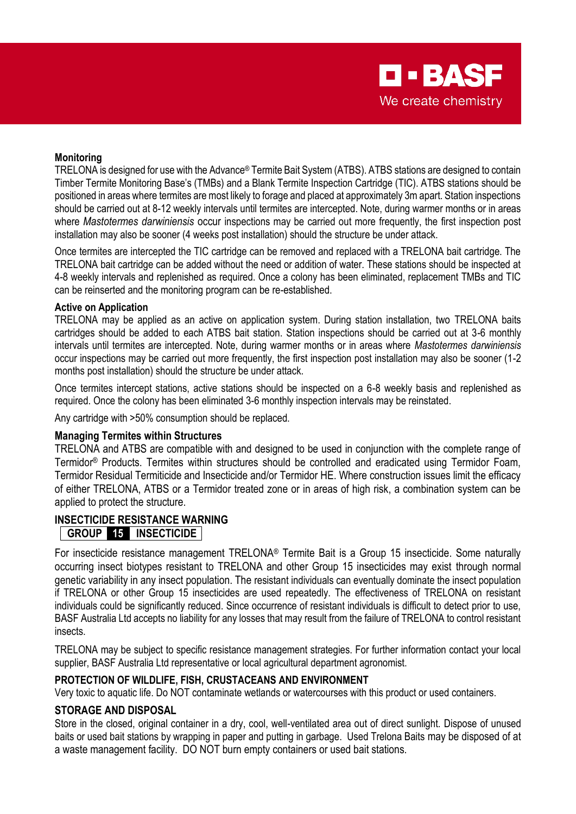#### **Monitoring**

TRELONA is designed for use with the Advance® Termite Bait System (ATBS). ATBS stations are designed to contain Timber Termite Monitoring Base's (TMBs) and a Blank Termite Inspection Cartridge (TIC). ATBS stations should be positioned in areas where termites are most likely to forage and placed at approximately 3m apart. Station inspections should be carried out at 8-12 weekly intervals until termites are intercepted. Note, during warmer months or in areas where *Mastotermes darwiniensis* occur inspections may be carried out more frequently, the first inspection post installation may also be sooner (4 weeks post installation) should the structure be under attack.

Once termites are intercepted the TIC cartridge can be removed and replaced with a TRELONA bait cartridge. The TRELONA bait cartridge can be added without the need or addition of water. These stations should be inspected at 4-8 weekly intervals and replenished as required. Once a colony has been eliminated, replacement TMBs and TIC can be reinserted and the monitoring program can be re-established.

#### **Active on Application**

TRELONA may be applied as an active on application system. During station installation, two TRELONA baits cartridges should be added to each ATBS bait station. Station inspections should be carried out at 3-6 monthly intervals until termites are intercepted. Note, during warmer months or in areas where *Mastotermes darwiniensis* occur inspections may be carried out more frequently, the first inspection post installation may also be sooner (1-2 months post installation) should the structure be under attack.

Once termites intercept stations, active stations should be inspected on a 6-8 weekly basis and replenished as required. Once the colony has been eliminated 3-6 monthly inspection intervals may be reinstated.

Any cartridge with >50% consumption should be replaced.

#### **Managing Termites within Structures**

TRELONA and ATBS are compatible with and designed to be used in conjunction with the complete range of Termidor® Products. Termites within structures should be controlled and eradicated using Termidor Foam, Termidor Residual Termiticide and Insecticide and/or Termidor HE. Where construction issues limit the efficacy of either TRELONA, ATBS or a Termidor treated zone or in areas of high risk, a combination system can be applied to protect the structure.

#### **INSECTICIDE RESISTANCE WARNING GROUP 15 INSECTICIDE**

For insecticide resistance management TRELONA® Termite Bait is a Group 15 insecticide. Some naturally occurring insect biotypes resistant to TRELONA and other Group 15 insecticides may exist through normal genetic variability in any insect population. The resistant individuals can eventually dominate the insect population if TRELONA or other Group 15 insecticides are used repeatedly. The effectiveness of TRELONA on resistant individuals could be significantly reduced. Since occurrence of resistant individuals is difficult to detect prior to use, BASF Australia Ltd accepts no liability for any losses that may result from the failure of TRELONA to control resistant insects.

TRELONA may be subject to specific resistance management strategies. For further information contact your local supplier, BASF Australia Ltd representative or local agricultural department agronomist.

#### **PROTECTION OF WILDLIFE, FISH, CRUSTACEANS AND ENVIRONMENT**

Very toxic to aquatic life. Do NOT contaminate wetlands or watercourses with this product or used containers.

#### **STORAGE AND DISPOSAL**

Store in the closed, original container in a dry, cool, well-ventilated area out of direct sunlight. Dispose of unused baits or used bait stations by wrapping in paper and putting in garbage. Used Trelona Baits may be disposed of at a waste management facility. DO NOT burn empty containers or used bait stations.